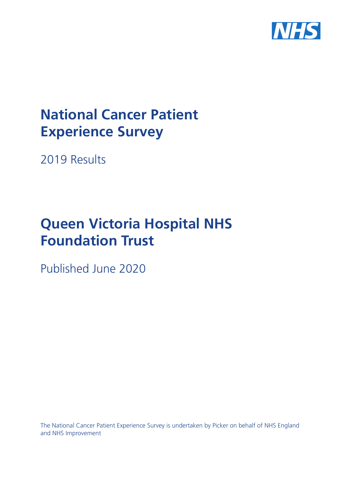

# **National Cancer Patient Experience Survey**

2019 Results

# **Queen Victoria Hospital NHS Foundation Trust**

Published June 2020

The National Cancer Patient Experience Survey is undertaken by Picker on behalf of NHS England and NHS Improvement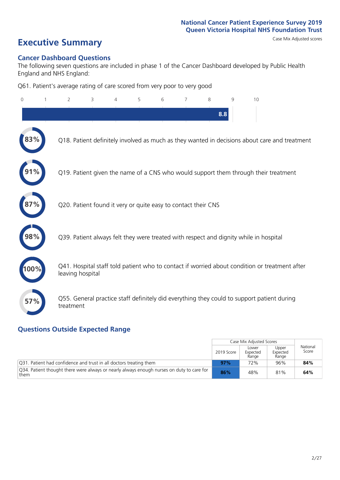**Executive Summary** Case Mix Adjusted scores

#### **Cancer Dashboard Questions**

The following seven questions are included in phase 1 of the Cancer Dashboard developed by Public Health England and NHS England:

Q61. Patient's average rating of care scored from very poor to very good

| 0   | $\overline{2}$   | 3                                                             | 5 | 6 | 7 | 8   | 9 | 10                                                                                            |
|-----|------------------|---------------------------------------------------------------|---|---|---|-----|---|-----------------------------------------------------------------------------------------------|
|     |                  |                                                               |   |   |   | 8.8 |   |                                                                                               |
| 83% |                  |                                                               |   |   |   |     |   | Q18. Patient definitely involved as much as they wanted in decisions about care and treatment |
|     |                  |                                                               |   |   |   |     |   | Q19. Patient given the name of a CNS who would support them through their treatment           |
|     |                  | Q20. Patient found it very or quite easy to contact their CNS |   |   |   |     |   |                                                                                               |
| 98% |                  |                                                               |   |   |   |     |   | Q39. Patient always felt they were treated with respect and dignity while in hospital         |
|     | leaving hospital |                                                               |   |   |   |     |   | Q41. Hospital staff told patient who to contact if worried about condition or treatment after |
| 57% | treatment        |                                                               |   |   |   |     |   | Q55. General practice staff definitely did everything they could to support patient during    |

### **Questions Outside Expected Range**

|                                                                                                   |            | Case Mix Adjusted Scores   |                            |                   |
|---------------------------------------------------------------------------------------------------|------------|----------------------------|----------------------------|-------------------|
|                                                                                                   | 2019 Score | Lower<br>Expected<br>Range | Upper<br>Expected<br>Range | National<br>Score |
| Q31. Patient had confidence and trust in all doctors treating them                                | 97%        | 72%                        | 96%                        | 84%               |
| Q34. Patient thought there were always or nearly always enough nurses on duty to care for<br>them | 86%        | 48%                        | 81%                        | 64%               |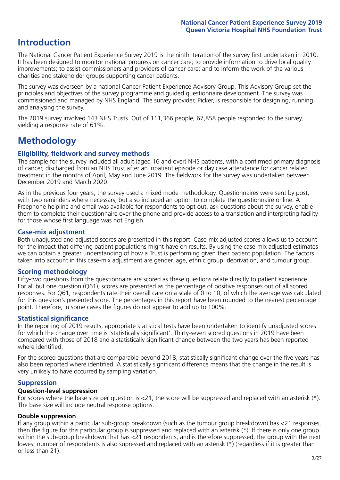## **Introduction**

The National Cancer Patient Experience Survey 2019 is the ninth iteration of the survey first undertaken in 2010. It has been designed to monitor national progress on cancer care; to provide information to drive local quality improvements; to assist commissioners and providers of cancer care; and to inform the work of the various charities and stakeholder groups supporting cancer patients.

The survey was overseen by a national Cancer Patient Experience Advisory Group. This Advisory Group set the principles and objectives of the survey programme and guided questionnaire development. The survey was commissioned and managed by NHS England. The survey provider, Picker, is responsible for designing, running and analysing the survey.

The 2019 survey involved 143 NHS Trusts. Out of 111,366 people, 67,858 people responded to the survey, yielding a response rate of 61%.

# **Methodology**

#### **Eligibility, eldwork and survey methods**

The sample for the survey included all adult (aged 16 and over) NHS patients, with a confirmed primary diagnosis of cancer, discharged from an NHS Trust after an inpatient episode or day case attendance for cancer related treatment in the months of April, May and June 2019. The fieldwork for the survey was undertaken between December 2019 and March 2020.

As in the previous four years, the survey used a mixed mode methodology. Questionnaires were sent by post, with two reminders where necessary, but also included an option to complete the questionnaire online. A Freephone helpline and email was available for respondents to opt out, ask questions about the survey, enable them to complete their questionnaire over the phone and provide access to a translation and interpreting facility for those whose first language was not English.

#### **Case-mix adjustment**

Both unadjusted and adjusted scores are presented in this report. Case-mix adjusted scores allows us to account for the impact that differing patient populations might have on results. By using the case-mix adjusted estimates we can obtain a greater understanding of how a Trust is performing given their patient population. The factors taken into account in this case-mix adjustment are gender, age, ethnic group, deprivation, and tumour group.

#### **Scoring methodology**

Fifty-two questions from the questionnaire are scored as these questions relate directly to patient experience. For all but one question (Q61), scores are presented as the percentage of positive responses out of all scored responses. For Q61, respondents rate their overall care on a scale of 0 to 10, of which the average was calculated for this question's presented score. The percentages in this report have been rounded to the nearest percentage point. Therefore, in some cases the figures do not appear to add up to 100%.

#### **Statistical significance**

In the reporting of 2019 results, appropriate statistical tests have been undertaken to identify unadjusted scores for which the change over time is 'statistically significant'. Thirty-seven scored questions in 2019 have been compared with those of 2018 and a statistically significant change between the two years has been reported where identified.

For the scored questions that are comparable beyond 2018, statistically significant change over the five years has also been reported where identified. A statistically significant difference means that the change in the result is very unlikely to have occurred by sampling variation.

#### **Suppression**

#### **Question-level suppression**

For scores where the base size per question is  $<$ 21, the score will be suppressed and replaced with an asterisk (\*). The base size will include neutral response options.

#### **Double suppression**

If any group within a particular sub-group breakdown (such as the tumour group breakdown) has <21 responses, then the figure for this particular group is suppressed and replaced with an asterisk (\*). If there is only one group within the sub-group breakdown that has <21 respondents, and is therefore suppressed, the group with the next lowest number of respondents is also supressed and replaced with an asterisk (\*) (regardless if it is greater than or less than 21).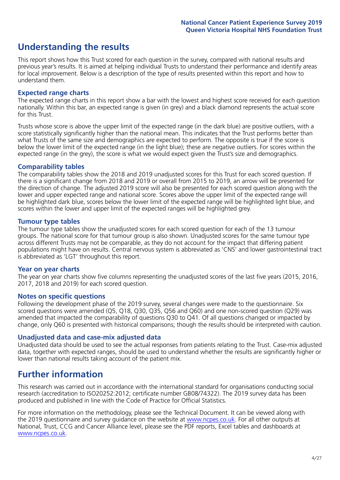# **Understanding the results**

This report shows how this Trust scored for each question in the survey, compared with national results and previous year's results. It is aimed at helping individual Trusts to understand their performance and identify areas for local improvement. Below is a description of the type of results presented within this report and how to understand them.

#### **Expected range charts**

The expected range charts in this report show a bar with the lowest and highest score received for each question nationally. Within this bar, an expected range is given (in grey) and a black diamond represents the actual score for this Trust.

Trusts whose score is above the upper limit of the expected range (in the dark blue) are positive outliers, with a score statistically significantly higher than the national mean. This indicates that the Trust performs better than what Trusts of the same size and demographics are expected to perform. The opposite is true if the score is below the lower limit of the expected range (in the light blue); these are negative outliers. For scores within the expected range (in the grey), the score is what we would expect given the Trust's size and demographics.

#### **Comparability tables**

The comparability tables show the 2018 and 2019 unadjusted scores for this Trust for each scored question. If there is a significant change from 2018 and 2019 or overall from 2015 to 2019, an arrow will be presented for the direction of change. The adjusted 2019 score will also be presented for each scored question along with the lower and upper expected range and national score. Scores above the upper limit of the expected range will be highlighted dark blue, scores below the lower limit of the expected range will be highlighted light blue, and scores within the lower and upper limit of the expected ranges will be highlighted grey.

#### **Tumour type tables**

The tumour type tables show the unadjusted scores for each scored question for each of the 13 tumour groups. The national score for that tumour group is also shown. Unadjusted scores for the same tumour type across different Trusts may not be comparable, as they do not account for the impact that differing patient populations might have on results. Central nervous system is abbreviated as 'CNS' and lower gastrointestinal tract is abbreviated as 'LGT' throughout this report.

#### **Year on year charts**

The year on year charts show five columns representing the unadjusted scores of the last five years (2015, 2016, 2017, 2018 and 2019) for each scored question.

#### **Notes on specific questions**

Following the development phase of the 2019 survey, several changes were made to the questionnaire. Six scored questions were amended (Q5, Q18, Q30, Q35, Q56 and Q60) and one non-scored question (Q29) was amended that impacted the comparability of questions Q30 to Q41. Of all questions changed or impacted by change, only Q60 is presented with historical comparisons; though the results should be interpreted with caution.

#### **Unadjusted data and case-mix adjusted data**

Unadjusted data should be used to see the actual responses from patients relating to the Trust. Case-mix adjusted data, together with expected ranges, should be used to understand whether the results are significantly higher or lower than national results taking account of the patient mix.

### **Further information**

This research was carried out in accordance with the international standard for organisations conducting social research (accreditation to ISO20252:2012; certificate number GB08/74322). The 2019 survey data has been produced and published in line with the Code of Practice for Official Statistics.

For more information on the methodology, please see the Technical Document. It can be viewed along with the 2019 questionnaire and survey quidance on the website at www.ncpes.co.uk. For all other outputs at National, Trust, CCG and Cancer Alliance level, please see the PDF reports, Excel tables and dashboards at www.ncpes.co.uk.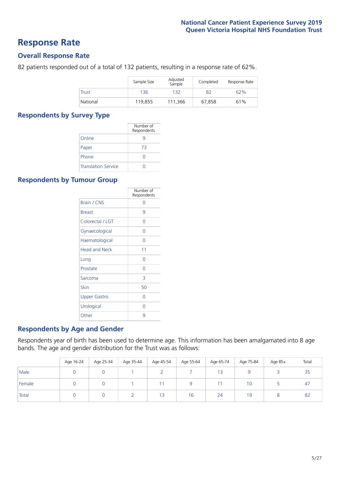### **Response Rate**

#### **Overall Response Rate**

82 patients responded out of a total of 132 patients, resulting in a response rate of 62%.

|              | Sample Size | Adjusted<br>Sample | Completed | Response Rate |
|--------------|-------------|--------------------|-----------|---------------|
| <b>Trust</b> | 136         | 132                | 82        | 62%           |
| National     | 119,855     | 111,366            | 67.858    | 61%           |

#### **Respondents by Survey Type**

|                            | Number of<br>Respondents |
|----------------------------|--------------------------|
| Online                     |                          |
| Paper                      | 73                       |
| Phone                      | Ω                        |
| <b>Translation Service</b> |                          |

#### **Respondents by Tumour Group**

|                      | Number of<br>Respondents |
|----------------------|--------------------------|
| <b>Brain / CNS</b>   | Ω                        |
| <b>Breast</b>        | 9                        |
| Colorectal / LGT     | 0                        |
| Gynaecological       | 0                        |
| Haematological       | 0                        |
| <b>Head and Neck</b> | 11                       |
| Lung                 | Ω                        |
| Prostate             | Ω                        |
| Sarcoma              | 3                        |
| Skin                 | 50                       |
| <b>Upper Gastro</b>  | Ω                        |
| Urological           | Ω                        |
| Other                | q                        |

#### **Respondents by Age and Gender**

Respondents year of birth has been used to determine age. This information has been amalgamated into 8 age bands. The age and gender distribution for the Trust was as follows:

|        | Age 16-24 | Age 25-34 | Age 35-44 | Age 45-54 | Age 55-64 | Age 65-74      | Age 75-84 | Age 85+ | Total |
|--------|-----------|-----------|-----------|-----------|-----------|----------------|-----------|---------|-------|
| Male   |           |           |           |           |           | 1 <sub>3</sub> |           |         | 35    |
| Female |           |           |           |           |           |                | 10        |         | 47    |
| Total  |           |           |           | 13        | 16        | 24             | 19        |         | 82    |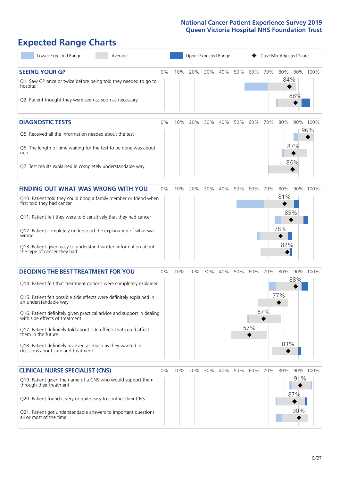# **Expected Range Charts**

| Lower Expected Range                                                                                                                   | Average |       | Upper Expected Range |     |     |     |     | Case Mix Adjusted Score |     |     |              |          |  |  |
|----------------------------------------------------------------------------------------------------------------------------------------|---------|-------|----------------------|-----|-----|-----|-----|-------------------------|-----|-----|--------------|----------|--|--|
| <b>SEEING YOUR GP</b>                                                                                                                  |         | 0%    | 10%                  | 20% | 30% | 40% | 50% | 60%                     | 70% |     | 80% 90% 100% |          |  |  |
| Q1. Saw GP once or twice before being told they needed to go to<br>hospital<br>Q2. Patient thought they were seen as soon as necessary |         |       |                      |     |     |     |     |                         |     | 84% | 88%          |          |  |  |
|                                                                                                                                        |         |       |                      |     |     |     |     |                         |     |     |              |          |  |  |
| <b>DIAGNOSTIC TESTS</b>                                                                                                                |         | 0%    | 10%                  | 20% | 30% | 40% | 50% | 60%                     | 70% | 80% |              | 90% 100% |  |  |
| Q5. Received all the information needed about the test                                                                                 |         |       |                      |     |     |     |     |                         |     |     |              | 96%      |  |  |
| Q6. The length of time waiting for the test to be done was about<br>right                                                              |         |       |                      |     |     |     |     |                         |     |     | 87%          |          |  |  |
| Q7. Test results explained in completely understandable way                                                                            |         |       |                      |     |     |     |     |                         |     |     | 86%          |          |  |  |
| <b>FINDING OUT WHAT WAS WRONG WITH YOU</b>                                                                                             |         | 0%    | 10%                  | 20% | 30% | 40% | 50% | 60%                     | 70% | 80% |              | 90% 100% |  |  |
| Q10. Patient told they could bring a family member or friend when<br>first told they had cancer                                        |         |       |                      |     |     |     |     |                         |     | 81% |              |          |  |  |
| Q11. Patient felt they were told sensitively that they had cancer                                                                      |         |       |                      |     |     |     |     |                         |     | 85% |              |          |  |  |
| Q12. Patient completely understood the explanation of what was<br>wrong                                                                |         |       |                      |     |     |     |     |                         |     | 78% |              |          |  |  |
| Q13. Patient given easy to understand written information about<br>the type of cancer they had                                         |         |       |                      |     |     |     |     |                         |     | 82% |              |          |  |  |
| <b>DECIDING THE BEST TREATMENT FOR YOU</b>                                                                                             |         | 0%    | 10%                  | 20% | 30% | 40% | 50% | 60%                     | 70% | 80% |              | 90% 100% |  |  |
| Q14. Patient felt that treatment options were completely explained                                                                     |         |       |                      |     |     |     |     |                         |     |     | 88%          |          |  |  |
| Q15. Patient felt possible side effects were definitely explained in<br>an understandable way                                          |         |       |                      |     |     |     |     |                         |     | 77% |              |          |  |  |
| Q16. Patient definitely given practical advice and support in dealing with side effects of treatment                                   |         |       |                      |     |     |     |     |                         | 67% |     |              |          |  |  |
| Q17. Patient definitely told about side effects that could affect<br>them in the future                                                |         |       |                      |     |     |     |     | 57%                     |     |     |              |          |  |  |
| Q18. Patient definitely involved as much as they wanted in<br>decisions about care and treatment                                       |         |       |                      |     |     |     |     |                         |     | 83% |              |          |  |  |
| <b>CLINICAL NURSE SPECIALIST (CNS)</b>                                                                                                 |         | $0\%$ | 10%                  | 20% | 30% | 40% | 50% | 60%                     | 70% | 80% |              | 90% 100% |  |  |
| Q19. Patient given the name of a CNS who would support them<br>through their treatment                                                 |         |       |                      |     |     |     |     |                         |     |     | 91%<br>87%   |          |  |  |
| Q20. Patient found it very or quite easy to contact their CNS                                                                          |         |       |                      |     |     |     |     |                         |     |     | 90%          |          |  |  |
| Q21. Patient got understandable answers to important questions<br>all or most of the time                                              |         |       |                      |     |     |     |     |                         |     |     |              |          |  |  |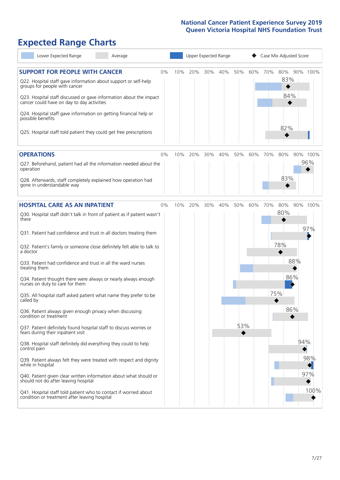# **Expected Range Charts**

| Lower Expected Range                                                                                                                                                                                                                                                                                                                                                                                                                                                                                                                                                                                                                                                                                                    | Average |       |     |     | Upper Expected Range |     |     | Case Mix Adjusted Score |     |                          |                   |                    |
|-------------------------------------------------------------------------------------------------------------------------------------------------------------------------------------------------------------------------------------------------------------------------------------------------------------------------------------------------------------------------------------------------------------------------------------------------------------------------------------------------------------------------------------------------------------------------------------------------------------------------------------------------------------------------------------------------------------------------|---------|-------|-----|-----|----------------------|-----|-----|-------------------------|-----|--------------------------|-------------------|--------------------|
| <b>SUPPORT FOR PEOPLE WITH CANCER</b><br>Q22. Hospital staff gave information about support or self-help<br>groups for people with cancer<br>Q23. Hospital staff discussed or gave information about the impact<br>cancer could have on day to day activities<br>Q24. Hospital staff gave information on getting financial help or<br>possible benefits<br>Q25. Hospital staff told patient they could get free prescriptions                                                                                                                                                                                                                                                                                           |         | $0\%$ | 10% | 20% | 30%                  | 40% | 50% | 60%                     | 70% | 80%<br>83%<br>84%<br>82% |                   | 90% 100%           |
| <b>OPERATIONS</b>                                                                                                                                                                                                                                                                                                                                                                                                                                                                                                                                                                                                                                                                                                       |         | 0%    | 10% | 20% | 30%                  | 40% | 50% | 60%                     | 70% | 80%                      |                   | 90% 100%           |
| Q27. Beforehand, patient had all the information needed about the<br>operation<br>Q28. Afterwards, staff completely explained how operation had<br>gone in understandable way                                                                                                                                                                                                                                                                                                                                                                                                                                                                                                                                           |         |       |     |     |                      |     |     |                         |     | 83%                      |                   | 96%                |
| <b>HOSPITAL CARE AS AN INPATIENT</b>                                                                                                                                                                                                                                                                                                                                                                                                                                                                                                                                                                                                                                                                                    |         | $0\%$ | 10% | 20% | 30%                  | 40% | 50% | 60%                     | 70% | 80%                      |                   | 90% 100%           |
| Q30. Hospital staff didn't talk in front of patient as if patient wasn't<br>there<br>Q31. Patient had confidence and trust in all doctors treating them<br>Q32. Patient's family or someone close definitely felt able to talk to<br>a doctor<br>Q33. Patient had confidence and trust in all the ward nurses<br>treating them<br>Q34. Patient thought there were always or nearly always enough<br>nurses on duty to care for them<br>Q35. All hospital staff asked patient what name they prefer to be<br>called by<br>Q36. Patient always given enough privacy when discussing<br>condition or treatment<br>Q37. Patient definitely found hospital staff to discuss worries or<br>fears during their inpatient visit |         |       |     |     |                      |     | 53% |                         |     | 80%<br>78%<br>75%        | 88%<br>86%<br>86% | 97%                |
| Q38. Hospital staff definitely did everything they could to help<br>control pain<br>Q39. Patient always felt they were treated with respect and dignity<br>while in hospital<br>Q40. Patient given clear written information about what should or<br>should not do after leaving hospital<br>Q41. Hospital staff told patient who to contact if worried about                                                                                                                                                                                                                                                                                                                                                           |         |       |     |     |                      |     |     |                         |     |                          | 94%               | 98%<br>97%<br>100% |
| condition or treatment after leaving hospital                                                                                                                                                                                                                                                                                                                                                                                                                                                                                                                                                                                                                                                                           |         |       |     |     |                      |     |     |                         |     |                          |                   |                    |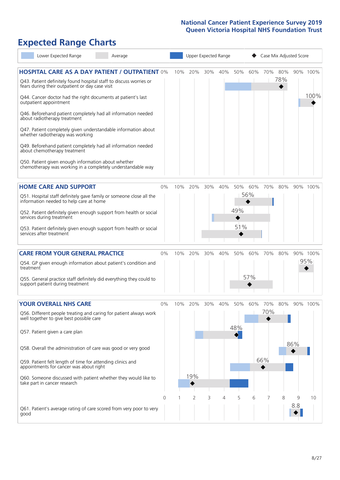# **Expected Range Charts**

| Lower Expected Range                                                                                                                                                                                                                                                                                                                                                                                                                                                                                                                                                                                                                                                                                   | Average |       |     | Upper Expected Range |     |         |                   |            | Case Mix Adjusted Score |            |          |                  |  |  |
|--------------------------------------------------------------------------------------------------------------------------------------------------------------------------------------------------------------------------------------------------------------------------------------------------------------------------------------------------------------------------------------------------------------------------------------------------------------------------------------------------------------------------------------------------------------------------------------------------------------------------------------------------------------------------------------------------------|---------|-------|-----|----------------------|-----|---------|-------------------|------------|-------------------------|------------|----------|------------------|--|--|
| <b>HOSPITAL CARE AS A DAY PATIENT / OUTPATIENT 0%</b><br>Q43. Patient definitely found hospital staff to discuss worries or<br>fears during their outpatient or day case visit<br>Q44. Cancer doctor had the right documents at patient's last<br>outpatient appointment<br>Q46. Beforehand patient completely had all information needed<br>about radiotherapy treatment<br>Q47. Patient completely given understandable information about<br>whether radiotherapy was working<br>Q49. Beforehand patient completely had all information needed<br>about chemotherapy treatment<br>Q50. Patient given enough information about whether<br>chemotherapy was working in a completely understandable way |         |       | 10% | 20%                  | 30% | 40%     | 50%               | 60%        | 70%                     | 80%<br>78% |          | 90% 100%<br>100% |  |  |
| <b>HOME CARE AND SUPPORT</b><br>Q51. Hospital staff definitely gave family or someone close all the<br>information needed to help care at home<br>Q52. Patient definitely given enough support from health or social<br>services during treatment<br>Q53. Patient definitely given enough support from health or social<br>services after treatment                                                                                                                                                                                                                                                                                                                                                    |         | 0%    | 10% | 20%                  | 30% | 40%     | 50%<br>49%<br>51% | 60%<br>56% | 70%                     | 80%        |          | 90% 100%         |  |  |
| <b>CARE FROM YOUR GENERAL PRACTICE</b><br>Q54. GP given enough information about patient's condition and<br>treatment<br>Q55. General practice staff definitely did everything they could to<br>support patient during treatment                                                                                                                                                                                                                                                                                                                                                                                                                                                                       |         | 0%    | 10% | 20%                  | 30% | 40%     | 50%               | 60%<br>57% | 70%                     | 80%        |          | 90% 100%<br>95%  |  |  |
| <b>YOUR OVERALL NHS CARE</b><br>Q56. Different people treating and caring for patient always work<br>well together to give best possible care<br>Q57. Patient given a care plan<br>Q58. Overall the administration of care was good or very good<br>Q59. Patient felt length of time for attending clinics and<br>appointments for cancer was about right<br>Q60. Someone discussed with patient whether they would like to<br>take part in cancer research                                                                                                                                                                                                                                            |         | $0\%$ | 10% | 20%<br>19%           |     | 30% 40% | 50%<br>48%        | 60%        | 70% 80%<br>70%<br>66%   |            | 86%      | 90% 100%         |  |  |
| Q61. Patient's average rating of care scored from very poor to very<br>good                                                                                                                                                                                                                                                                                                                                                                                                                                                                                                                                                                                                                            |         | 0     |     | 2                    | 3   | 4       | 5                 | 6          |                         | 8          | 9<br>8.8 | 10               |  |  |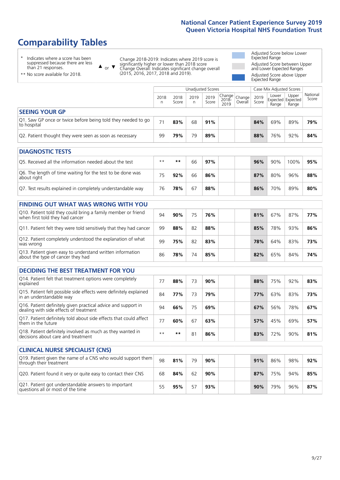77 **60%** 67 **63% 57%** 45% 69% **57%**

\*\* **\*\*** 81 **86% 83%** 72% 90% **81%**

98 **81%** 79 **90% 91%** 86% 98% **92%**

# **Comparability Tables**

\* Indicates where a score has been suppressed because there are less than 21 responses.

\*\* No score available for 2018.

or  $\blacktriangledown$  $\blacktriangle$ 

Q17. Patient definitely told about side effects that could affect

Q19. Patient given the name of a CNS who would support them

Q18. Patient definitely involved as much as they wanted in

Q21. Patient got understandable answers to important

them in the future

through their treatment

decisions about care and treatment

**CLINICAL NURSE SPECIALIST (CNS)**

Change 2018-2019: Indicates where 2019 score is significantly higher or lower than 2018 score Change Overall: Indicates significant change overall (2015, 2016, 2017, 2018 and 2019).

Adjusted Score below Lower Expected Range Adjusted Score between Upper and Lower Expected Ranges Adjusted Score above Upper Expected Range

|                                                                                                         |            |               | <b>Unadjusted Scores</b> |               |                         |                   |               | Case Mix Adjusted Scores |                                     |                   |
|---------------------------------------------------------------------------------------------------------|------------|---------------|--------------------------|---------------|-------------------------|-------------------|---------------|--------------------------|-------------------------------------|-------------------|
|                                                                                                         | 2018<br>n. | 2018<br>Score | 2019<br>n.               | 2019<br>Score | Change<br>2018-<br>2019 | Change<br>Overall | 2019<br>Score | Lower<br>Range           | Upper<br>Expected Expected<br>Range | National<br>Score |
| <b>SEEING YOUR GP</b>                                                                                   |            |               |                          |               |                         |                   |               |                          |                                     |                   |
| Q1. Saw GP once or twice before being told they needed to go<br>to hospital                             | 71         | 83%           | 68                       | 91%           |                         |                   | 84%           | 69%                      | 89%                                 | 79%               |
| Q2. Patient thought they were seen as soon as necessary                                                 | 99         | 79%           | 79                       | 89%           |                         |                   | 88%           | 76%                      | 92%                                 | 84%               |
| <b>DIAGNOSTIC TESTS</b>                                                                                 |            |               |                          |               |                         |                   |               |                          |                                     |                   |
| O5. Received all the information needed about the test                                                  | $***$      | **            | 66                       | 97%           |                         |                   | 96%           | 90%                      | 100%                                | 95%               |
| Q6. The length of time waiting for the test to be done was<br>about right                               | 75         | 92%           | 66                       | 86%           |                         |                   | 87%           | 80%                      | 96%                                 | 88%               |
| Q7. Test results explained in completely understandable way                                             | 76         | 78%           | 67                       | 88%           |                         |                   | 86%           | 70%                      | 89%                                 | 80%               |
| <b>FINDING OUT WHAT WAS WRONG WITH YOU</b>                                                              |            |               |                          |               |                         |                   |               |                          |                                     |                   |
| Q10. Patient told they could bring a family member or friend<br>when first told they had cancer         | 94         | 90%           | 75                       | 76%           |                         |                   | 81%           | 67%                      | 87%                                 | 77%               |
| Q11. Patient felt they were told sensitively that they had cancer                                       | 99         | 88%           | 82                       | 88%           |                         |                   | 85%           | 78%                      | 93%                                 | 86%               |
| Q12. Patient completely understood the explanation of what<br>was wrong                                 | 99         | 75%           | 82                       | 83%           |                         |                   | 78%           | 64%                      | 83%                                 | 73%               |
| Q13. Patient given easy to understand written information<br>about the type of cancer they had          | 86         | 78%           | 74                       | 85%           |                         |                   | 82%           | 65%                      | 84%                                 | 74%               |
| <b>DECIDING THE BEST TREATMENT FOR YOU</b>                                                              |            |               |                          |               |                         |                   |               |                          |                                     |                   |
| Q14. Patient felt that treatment options were completely<br>explained                                   | 77         | 88%           | 73                       | 90%           |                         |                   | 88%           | 75%                      | 92%                                 | 83%               |
| Q15. Patient felt possible side effects were definitely explained<br>in an understandable way           | 84         | 77%           | 73                       | 79%           |                         |                   | 77%           | 63%                      | 83%                                 | 73%               |
| Q16. Patient definitely given practical advice and support in<br>dealing with side effects of treatment | 94         | 66%           | 75                       | 69%           |                         |                   | 67%           | 56%                      | 78%                                 | 67%               |

Q20. Patient found it very or quite easy to contact their CNS 68 **84%** 62 **90% 87%** 75% 94% **85%**

Q21. Patient got understandable answers to important  $\begin{vmatrix} 55 & 95\% & 57 & 93\% \end{vmatrix}$  57 **93%** 90% 79% 96% **87%**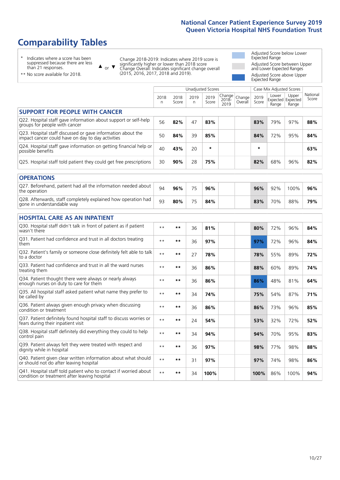# **Comparability Tables**

\* Indicates where a score has been suppressed because there are less than 21 responses.

\*\* No score available for 2018.

 $\triangle$  or  $\nabla$ 

Change 2018-2019: Indicates where 2019 score is significantly higher or lower than 2018 score Change Overall: Indicates significant change overall (2015, 2016, 2017, 2018 and 2019).

Adjusted Score below Lower Expected Range Adjusted Score between Upper and Lower Expected Ranges Adjusted Score above Upper Expected Range

|                                                                                                                   | Unadjusted Scores<br>Case Mix Adjusted Scores |               |           |               |                         |                   |               |                |                                     |                   |
|-------------------------------------------------------------------------------------------------------------------|-----------------------------------------------|---------------|-----------|---------------|-------------------------|-------------------|---------------|----------------|-------------------------------------|-------------------|
|                                                                                                                   | 2018<br>n                                     | 2018<br>Score | 2019<br>n | 2019<br>Score | Change<br>2018-<br>2019 | Change<br>Overall | 2019<br>Score | Lower<br>Range | Upper<br>Expected Expected<br>Range | National<br>Score |
| <b>SUPPORT FOR PEOPLE WITH CANCER</b>                                                                             |                                               |               |           |               |                         |                   |               |                |                                     |                   |
| Q22. Hospital staff gave information about support or self-help<br>groups for people with cancer                  | 56                                            | 82%           | 47        | 83%           |                         |                   | 83%           | 79%            | 97%                                 | 88%               |
| Q23. Hospital staff discussed or gave information about the<br>impact cancer could have on day to day activities  | 50                                            | 84%           | 39        | 85%           |                         |                   | 84%           | 72%            | 95%                                 | 84%               |
| Q24. Hospital staff gave information on getting financial help or<br>possible benefits                            | 40                                            | 43%           | 20        | $\star$       |                         |                   | $\star$       |                |                                     | 63%               |
| Q25. Hospital staff told patient they could get free prescriptions                                                | 30                                            | 90%           | 28        | 75%           |                         |                   | 82%           | 68%            | 96%                                 | 82%               |
| <b>OPERATIONS</b>                                                                                                 |                                               |               |           |               |                         |                   |               |                |                                     |                   |
| Q27. Beforehand, patient had all the information needed about<br>the operation                                    | 94                                            | 96%           | 75        | 96%           |                         |                   | 96%           | 92%            | 100%                                | 96%               |
| Q28. Afterwards, staff completely explained how operation had<br>gone in understandable way                       | 93                                            | 80%           | 75        | 84%           |                         |                   | 83%           | 70%            | 88%                                 | 79%               |
| <b>HOSPITAL CARE AS AN INPATIENT</b>                                                                              |                                               |               |           |               |                         |                   |               |                |                                     |                   |
| Q30. Hospital staff didn't talk in front of patient as if patient<br>wasn't there                                 | $* *$                                         | **            | 36        | 81%           |                         |                   | 80%           | 72%            | 96%                                 | 84%               |
| Q31. Patient had confidence and trust in all doctors treating<br>them                                             | $* *$                                         | $***$         | 36        | 97%           |                         |                   | 97%           | 72%            | 96%                                 | 84%               |
| Q32. Patient's family or someone close definitely felt able to talk<br>to a doctor                                | $* *$                                         | $***$         | 27        | 78%           |                         |                   | 78%           | 55%            | 89%                                 | 72%               |
| Q33. Patient had confidence and trust in all the ward nurses<br>treating them                                     | $* *$                                         | **            | 36        | 86%           |                         |                   | 88%           | 60%            | 89%                                 | 74%               |
| Q34. Patient thought there were always or nearly always<br>enough nurses on duty to care for them                 | $**$                                          | $***$         | 36        | 86%           |                         |                   | 86%           | 48%            | 81%                                 | 64%               |
| Q35. All hospital staff asked patient what name they prefer to<br>be called by                                    | $* *$                                         | **            | 34        | 74%           |                         |                   | 75%           | 54%            | 87%                                 | 71%               |
| Q36. Patient always given enough privacy when discussing<br>condition or treatment                                | $* *$                                         | $***$         | 36        | 86%           |                         |                   | 86%           | 73%            | 96%                                 | 85%               |
| Q37. Patient definitely found hospital staff to discuss worries or<br>fears during their inpatient visit          | $* *$                                         | **            | 24        | 54%           |                         |                   | 53%           | 32%            | 72%                                 | 52%               |
| Q38. Hospital staff definitely did everything they could to help<br>control pain                                  | $* *$                                         | $***$         | 34        | 94%           |                         |                   | 94%           | 70%            | 95%                                 | 83%               |
| Q39. Patient always felt they were treated with respect and<br>dignity while in hospital                          | $* *$                                         | **            | 36        | 97%           |                         |                   | 98%           | 77%            | 98%                                 | 88%               |
| Q40. Patient given clear written information about what should<br>or should not do after leaving hospital         | $\star\star$                                  | $***$         | 31        | 97%           |                         |                   | 97%           | 74%            | 98%                                 | 86%               |
| Q41. Hospital staff told patient who to contact if worried about<br>condition or treatment after leaving hospital | $**$                                          | **            | 34        | 100%          |                         |                   | 100%          | 86%            | 100%                                | 94%               |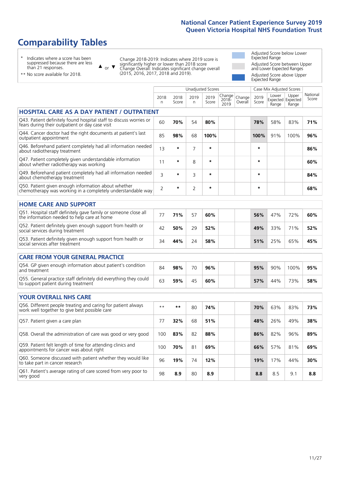# **Comparability Tables**

\* Indicates where a score has been suppressed because there are less than 21 responses.

 $\triangle$  or  $\nabla$ 

Change 2018-2019: Indicates where 2019 score is significantly higher or lower than 2018 score Change Overall: Indicates significant change overall (2015, 2016, 2017, 2018 and 2019).

 $\sqrt{ }$ 

Adjusted Score below Lower Expected Range Adjusted Score between Upper and Lower Expected Ranges Adjusted Score above Upper Expected Range

\*\* No score available for 2018.

|                                                                                                                       |                |               |                | <b>Unadjusted Scores</b> |                            |                   |               | Case Mix Adjusted Scores            |                |                   |
|-----------------------------------------------------------------------------------------------------------------------|----------------|---------------|----------------|--------------------------|----------------------------|-------------------|---------------|-------------------------------------|----------------|-------------------|
|                                                                                                                       | 2018<br>n      | 2018<br>Score | 2019<br>n      | 2019<br>Score            | Change<br>$2018 -$<br>2019 | Change<br>Overall | 2019<br>Score | Lower<br>Expected Expected<br>Range | Upper<br>Range | National<br>Score |
| <b>HOSPITAL CARE AS A DAY PATIENT / OUTPATIENT</b>                                                                    |                |               |                |                          |                            |                   |               |                                     |                |                   |
| Q43. Patient definitely found hospital staff to discuss worries or<br>fears during their outpatient or day case visit | 60             | 70%           | 54             | 80%                      |                            |                   | 78%           | 58%                                 | 83%            | 71%               |
| Q44. Cancer doctor had the right documents at patient's last<br>outpatient appointment                                | 85             | 98%           | 68             | 100%                     |                            |                   | 100%          | 91%                                 | 100%           | 96%               |
| Q46. Beforehand patient completely had all information needed<br>about radiotherapy treatment                         | 13             | $\star$       | $\overline{7}$ | $\star$                  |                            |                   | $\star$       |                                     |                | 86%               |
| Q47. Patient completely given understandable information<br>about whether radiotherapy was working                    | 11             | $\star$       | 8              | $\star$                  |                            |                   | *             |                                     |                | 60%               |
| Q49. Beforehand patient completely had all information needed<br>about chemotherapy treatment                         | 3              | $\star$       | 3              | $\star$                  |                            |                   | *             |                                     |                | 84%               |
| Q50. Patient given enough information about whether<br>chemotherapy was working in a completely understandable way    | $\overline{2}$ | $\star$       | $\overline{2}$ | $\star$                  |                            |                   | $\star$       |                                     |                | 68%               |
| <b>HOME CARE AND SUPPORT</b>                                                                                          |                |               |                |                          |                            |                   |               |                                     |                |                   |
| Q51. Hospital staff definitely gave family or someone close all<br>the information needed to help care at home        | 77             | 71%           | 57             | 60%                      |                            |                   | 56%           | 47%                                 | 72%            | 60%               |
| Q52. Patient definitely given enough support from health or<br>social services during treatment                       | 42             | 50%           | 29             | 52%                      |                            |                   | 49%           | 33%                                 | 71%            | 52%               |
| Q53. Patient definitely given enough support from health or<br>social services after treatment                        | 34             | 44%           | 24             | 58%                      |                            |                   | 51%           | 25%                                 | 65%            | 45%               |
| <b>CARE FROM YOUR GENERAL PRACTICE</b>                                                                                |                |               |                |                          |                            |                   |               |                                     |                |                   |
| Q54. GP given enough information about patient's condition<br>and treatment                                           | 84             | 98%           | 70             | 96%                      |                            |                   | 95%           | 90%                                 | 100%           | 95%               |
| Q55. General practice staff definitely did everything they could<br>to support patient during treatment               | 63             | 59%           | 45             | 60%                      |                            |                   | 57%           | 44%                                 | 73%            | 58%               |
| <b>YOUR OVERALL NHS CARE</b>                                                                                          |                |               |                |                          |                            |                   |               |                                     |                |                   |
| Q56. Different people treating and caring for patient always<br>work well together to give best possible care         | $\star\star$   | $***$         | 80             | 74%                      |                            |                   | 70%           | 63%                                 | 83%            | 73%               |
| Q57. Patient given a care plan                                                                                        | 77             | 32%           | 68             | 51%                      |                            |                   | 48%           | 26%                                 | 49%            | 38%               |
| Q58. Overall the administration of care was good or very good                                                         | 100            | 83%           | 82             | 88%                      |                            |                   | 86%           | 82%                                 | 96%            | 89%               |
| Q59. Patient felt length of time for attending clinics and<br>appointments for cancer was about right                 | 100            | 70%           | 81             | 69%                      |                            |                   | 66%           | 57%                                 | 81%            | 69%               |
| Q60. Someone discussed with patient whether they would like<br>to take part in cancer research                        | 96             | 19%           | 74             | 12%                      |                            |                   | 19%           | 17%                                 | 44%            | 30%               |
| Q61. Patient's average rating of care scored from very poor to<br>very good                                           | 98             | 8.9           | 80             | 8.9                      |                            |                   | 8.8           | 8.5                                 | 9.1            | 8.8               |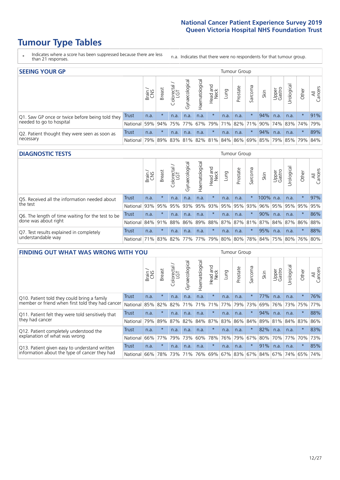# **Tumour Type Tables**

- \* Indicates where a score has been suppressed because there are less than 21 responses.
- n.a. Indicates that there were no respondents for that tumour group.

| <b>SEEING YOUR GP</b>                           |              |       |               |                   |                                     |                |                  |                       | Tumour Group |         |      |                 |                                                 |         |                |
|-------------------------------------------------|--------------|-------|---------------|-------------------|-------------------------------------|----------------|------------------|-----------------------|--------------|---------|------|-----------------|-------------------------------------------------|---------|----------------|
|                                                 |              | Brain | <b>Breast</b> | Colorectal<br>LGT | $\overline{\sigma}$<br>Gynaecologic | Haematological | Head and<br>Neck | Dung                  | Prostate     | Sarcoma | Skin | Upper<br>Gastro | Urological                                      | Other   | All<br>Cancers |
| Q1. Saw GP once or twice before being told they | <b>Trust</b> | n.a.  | $\star$       | n.a.              | n.a.                                | n.a.           | $\star$          | n.a.                  | n.a.         |         | 94%  | n.a.            | n.a.                                            |         | 91%            |
| needed to go to hospital                        | National     | 59%   |               | 94% 75% 77%       |                                     |                |                  | 67%   79%   71%   82% |              |         |      |                 | 71% 90% 74% 83% 74%                             |         | 79%            |
| Q2. Patient thought they were seen as soon as   | Trust        | n.a.  | $\star$       | n.a.              | n.a.                                | n.a.           | $\star$          | n.a.                  | n.a.         | $\star$ | 94%  | n.a.            | n.a.                                            | $\star$ | 89%            |
| necessary                                       | National     | 79%   |               |                   |                                     |                |                  |                       |              |         |      |                 | 89% 83% 81% 82% 81% 84% 86% 69% 85% 79% 85% 79% |         | 84%            |

#### **DIAGNOSTIC TESTS** Tumour Group

|                                                                |              | Brain | <b>Breast</b> | Colorectal<br>LGT                       | Gynaecological | Haematological | Head and<br>Neck | Lung | Prostate | Sarcoma | Skin      | Upper<br>Gastro | Jrological                                  | Other   | All<br>Cancers |
|----------------------------------------------------------------|--------------|-------|---------------|-----------------------------------------|----------------|----------------|------------------|------|----------|---------|-----------|-----------------|---------------------------------------------|---------|----------------|
| Q5. Received all the information needed about                  | <b>Trust</b> | n.a.  |               | n.a.                                    | n.a.           | n.a.           | $\star$          | n.a. | n.a.     | 大       | 100% n.a. |                 | n.a.                                        | $\star$ | 97%            |
| the test                                                       | National     | 93%   | 95%           | 95%                                     | 93%            | 95% 93% 95%    |                  |      | 95%      | 93%     | 96%       | 95%             | 95% 95%                                     |         | 95%            |
| Q6. The length of time waiting for the test to be              | Trust        | n.a.  | $\star$       | n.a.                                    | n.a.           | n.a.           | $\star$          | n.a. | n.a.     | $\star$ | 90%       | n.a.            | n.a.                                        | $\star$ | 86%            |
| done was about right                                           | National 84% |       | 91%           | 88%                                     |                |                |                  |      |          |         |           |                 | 86% 89% 88% 87% 87% 81% 87% 84% 87% 86% 88% |         |                |
| Q7. Test results explained in completely<br>understandable way | Trust        | n.a.  | $\star$       | n.a.                                    | n.a.           | n.a.           | $\star$          | n.a. | n.a.     | $\star$ | 95%       | n.a.            | n.a.                                        | $\star$ | 88%            |
|                                                                | National 71% |       |               | 83%   82%   77%   77%   79%   80%   80% |                |                |                  |      |          |         |           |                 | 78% 84% 75% 80% 76% 80%                     |         |                |

|                                                   | <b>FINDING OUT WHAT WAS WRONG WITH YOU</b> |       |               |                       |                |                |                        |      |             | <b>Tumour Group</b> |      |                 |            |         |                |
|---------------------------------------------------|--------------------------------------------|-------|---------------|-----------------------|----------------|----------------|------------------------|------|-------------|---------------------|------|-----------------|------------|---------|----------------|
|                                                   |                                            | Brain | <b>Breast</b> | olorectal<br>LGT<br>Ü | Gynaecological | Haematological | ad and<br>Neck<br>Head | Lung | Prostate    | Sarcoma             | Skin | Upper<br>Gastro | Urological | Other   | All<br>Cancers |
| Q10. Patient told they could bring a family       | Trust                                      | n.a.  | $\star$       | n.a.                  | n.a.           | n.a.           | $\star$                | n.a. | n.a.        | $^\star$            | 77%  | n.a.            | n.a.       | $\star$ | 76%            |
| member or friend when first told they had cancer  | National                                   | 85%   | 82%           | 82%                   | 71%            | 71%            | 71%                    | 77%  | 79%         | 73%                 | 69%  | 76%             | 73%        | 75%     | 77%            |
| Q11. Patient felt they were told sensitively that | Trust                                      | n.a.  | $\star$       | n.a.                  | n.a.           | n.a.           | $\ast$                 | n.a. | n.a.        | $\star$             | 94%  | n.a.            | n.a.       | $\star$ | 88%            |
| they had cancer                                   | National                                   | 79%   | 89%           | 87%                   | 82%            |                | 84% 87% 83%            |      | 86%         | 84%                 |      | 89% 81%         | 84% 83%    |         | 86%            |
| Q12. Patient completely understood the            | Trust                                      | n.a.  | $\star$       | n.a.                  | n.a.           | n.a.           | $\star$                | n.a. | n.a.        | $\star$             | 82%  | n.a.            | n.a.       | $\star$ | 83%            |
| explanation of what was wrong                     | National                                   | 66%   | 77%           | 79%                   | 73%            | 60%            | 78%                    | 76%  | 79%         | 67%                 | 80%  | 70%             | 77%        | 70%     | 73%            |
| Q13. Patient given easy to understand written     | Trust                                      | n.a.  | $\star$       | n.a.                  | n.a.           | n.a.           | $\star$                | n.a. | n.a.        | $\star$             | 91%  | n.a.            | n.a.       | $\star$ | 85%            |
| information about the type of cancer they had     | National                                   | 66%   | 78%           | 73%                   | 71%            | 76%            |                        |      | 69% 67% 83% | 67%                 | 84%  |                 | 67% 74%    | 65%     | 74%            |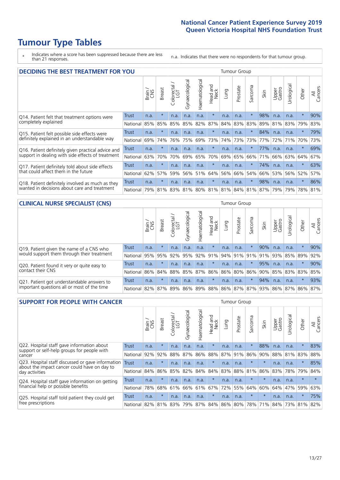# **Tumour Type Tables**

\* Indicates where a score has been suppressed because there are less than 21 responses.

n.a. Indicates that there were no respondents for that tumour group.

|                                                    | <b>DECIDING THE BEST TREATMENT FOR YOU</b> |       |               |                             |                |                |                         |      |          |                          |                                 |                 |            |         |                |
|----------------------------------------------------|--------------------------------------------|-------|---------------|-----------------------------|----------------|----------------|-------------------------|------|----------|--------------------------|---------------------------------|-----------------|------------|---------|----------------|
|                                                    |                                            | Brain | <b>Breast</b> | olorectal.<br>LGT<br>$\cup$ | Gynaecological | Haematological | ead and<br>Neck<br>Head | Lung | Prostate | arcoma<br>$\overline{2}$ | Skin                            | Upper<br>Gastro | Jrological | Other   | All<br>Cancers |
| Q14. Patient felt that treatment options were      | Trust                                      | n.a.  | $\star$       | n.a.                        | n.a.           | n.a.           | $\star$                 | n.a. | n.a.     | $\star$                  | 98%                             | n.a.            | n.a.       | $\star$ | 90%            |
| completely explained                               | National                                   | 85%   | 85%           | 85%                         | 85%            | 82%            | 87%                     | 84%  | 83%      | 83%                      | 89%                             | 81%             | 83%        | 79%     | 83%            |
| Q15. Patient felt possible side effects were       | Trust                                      | n.a.  | $\star$       | n.a.                        | n.a.           | n.a.           | $\star$                 | n.a. | n.a.     | $^\star$                 | 84%                             | n.a.            | n.a.       | $\star$ | 79%            |
| definitely explained in an understandable way      | National                                   | 69%   | 74%           | 76%                         | 75%            | 69%            | 73%                     | 74%  | 73%      | 73%                      | 77%                             | 72%             | 71%        | 70%     | 73%            |
| Q16. Patient definitely given practical advice and | Trust                                      | n.a.  | $\star$       | n.a.                        | n.a.           | n.a.           | $\star$                 | n.a. | n.a.     | 大                        | 77%                             | n.a.            | n.a.       | $\star$ | 69%            |
| support in dealing with side effects of treatment  | National                                   | 63%   | 70%           | 70%                         | 69%            | 65%            | 70%                     | 69%  | 65%      | 66%                      | 71%                             | 66%             | 63%        | 64%     | 67%            |
| Q17. Patient definitely told about side effects    | Trust                                      | n.a.  | $\star$       | n.a.                        | n.a.           | n.a.           | $\star$                 | n.a. | n.a.     | 头                        | 74%                             | n.a.            | n.a.       | $\star$ | 63%            |
| that could affect them in the future               | National                                   | 62%   | 57%           | 59%                         | 56%            | 51%            | 64%                     | 56%  | 66%      | 54%                      | 66%                             | 53%             | 56%        | 52%     | 57%            |
| Q18. Patient definitely involved as much as they   | Trust                                      | n.a.  | $\star$       | n.a.                        | n.a.           | n.a.           | $\star$                 | n.a. | n.a.     | $\star$                  | 98%                             | n.a.            | n.a.       | $\star$ | 86%            |
| wanted in decisions about care and treatment       | National                                   | 79%   | 81%           |                             |                |                |                         |      |          |                          | 83% 81% 80% 81% 81% 84% 81% 87% | 79%             | 79%        | 78%     | 81%            |

#### **CLINICAL NURSE SPECIALIST (CNS)** Tumour Group

|                                             |              | Brain | <b>Breast</b> | Colorectal<br>LGT | Gynaecologica | ᅙ<br>aematologic | Head and<br>Neck | Lung    | Prostate | Sarcoma | Skin | Upper<br>Gastro                                 | $\sigma$<br>rologica | Other   | All<br>Cancers |
|---------------------------------------------|--------------|-------|---------------|-------------------|---------------|------------------|------------------|---------|----------|---------|------|-------------------------------------------------|----------------------|---------|----------------|
| Q19. Patient given the name of a CNS who    | <b>Trust</b> | n.a.  | $\star$       | n.a.              | n.a.          | n.a.             | $\star$          | n.a.    | n.a.     | $\star$ | 90%  | n.a.                                            | n.a.                 | $\star$ | 90%            |
| would support them through their treatment  | National     | 95%   | 95%           | 92%               | 95%           | 92%              | 91%              | 94% 91% |          | 91%     | 91%  | 93%                                             | 85%                  | 89%     | 92%            |
| Q20. Patient found it very or quite easy to | Trust        | n.a.  | $\star$       | n.a.              | n.a.          | n.a.             | $^\star$         | n.a.    | n.a.     | $\star$ | 95%  | n.a.                                            | n.a.                 |         | 90%            |
| contact their CNS                           | National     | 86%   | $84\%$        |                   | 88% 85%       | 87%              | 86%              | 86% 80% |          |         |      | 86% 90% 85%                                     |                      | 83% 83% | 85%            |
| Q21. Patient got understandable answers to  | Trust        | n.a.  | $\star$       | n.a.              | n.a.          | n.a.             | $\star$          | n.a.    | n.a.     | $\star$ | 94%  | n.a.                                            | n.a.                 | $\star$ | 93%            |
| important questions all or most of the time | National     |       |               |                   |               |                  |                  |         |          |         |      | 82% 87% 89% 86% 89% 88% 86% 87% 87% 93% 86% 87% |                      | 86%     | 87%            |

| <b>SUPPORT FOR PEOPLE WITH CANCER</b>                                                             |              |       |               |                            |                |                |                         |             | Tumour Group |         |         |                 |           |         |                |
|---------------------------------------------------------------------------------------------------|--------------|-------|---------------|----------------------------|----------------|----------------|-------------------------|-------------|--------------|---------|---------|-----------------|-----------|---------|----------------|
|                                                                                                   |              | Brain | <b>Breast</b> | ╮<br>olorectal<br>LGT<br>Ū | Gynaecological | Haematological | ead and<br>Neck<br>Head | <b>Dung</b> | Prostate     | Sarcoma | Skin    | Upper<br>Gastro | Urologica | Other   | All<br>Cancers |
| Q22. Hospital staff gave information about<br>support or self-help groups for people with         | <b>Trust</b> | n.a.  | $\star$       | n.a.                       | n.a.           | n.a.           | $\star$                 | n.a.        | n.a.         | $\star$ | 88%     | n.a.            | n.a.      | $\star$ | 83%            |
| cancer                                                                                            | National     | 92%   | 92%           | 88%                        | 87%            | 86%            | 88%                     | 87%         | 91%          | 86%     | 90%     | 88%             | 81%       | 83%     | 88%            |
| Q23. Hospital staff discussed or gave information<br>about the impact cancer could have on day to | Trust        | n.a.  | $\star$       | n.a.                       | n.a.           | n.a.           | $\star$                 | n.a.        | n.a.         | $\star$ | $\star$ | n.a.            | n.a.      | $\star$ | 85%            |
| day activities                                                                                    | National     | 84%   | 86%           | 85%                        | 82%            | 84%            | 84%                     | 83%         | 88%          | 81%     | 86%     | 83%             | 78%       | 79%     | 84%            |
| Q24. Hospital staff gave information on getting                                                   | Trust        | n.a.  | $\star$       | n.a.                       | n.a.           | n.a.           | $\star$                 | n.a.        | n.a.         | $\star$ | $\star$ | n.a.            | n.a.      | $\star$ |                |
| financial help or possible benefits                                                               | National     | 78%   | 68%           | 61%                        | 66%            | 61%            | 67%                     | 72%         | 55%          | 64%     | 60%     | 64%             | 47%       | 59%     | 63%            |
| Q25. Hospital staff told patient they could get                                                   | Trust        | n.a.  | $\star$       | n.a.                       | n.a.           | n.a.           | $\ast$                  | n.a.        | n.a.         | $\star$ | $\star$ | n.a.            | n.a.      | $\ast$  | 75%            |
| free prescriptions                                                                                | National     | 82%   | 81%           | 83%                        | 79%            | 87%            |                         |             | 84% 86% 80%  | 78%     | 71%     | 84%             | 73%       | 81%     | 82%            |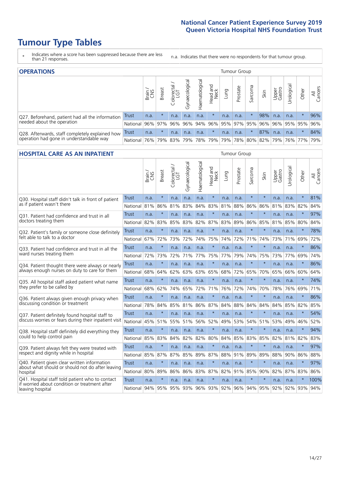# **Tumour Type Tables**

\* Indicates where a score has been suppressed because there are less than 21 responses.

n.a. Indicates that there were no respondents for that tumour group.

| <b>OPERATIONS</b>                                |          |              |               |            |                   |                |                  |      | Tumour Group |         |                     |                 |            |         |                |
|--------------------------------------------------|----------|--------------|---------------|------------|-------------------|----------------|------------------|------|--------------|---------|---------------------|-----------------|------------|---------|----------------|
|                                                  |          | Brain<br>CNS | <b>Breast</b> | Colorectal | ল<br>Gynaecologic | Haematological | Head and<br>Neck | Fung | Prostate     | Sarcoma | Skin                | Upper<br>Gastro | Jrological | Other   | All<br>Cancers |
| Q27. Beforehand, patient had all the information | Trust    | n.a.         | $\star$       | n.a.       | n.a.              | n.a.           | $\star$          | n.a. | n.a.         |         | 98%                 | n.a.            | n.a.       | $\star$ | 96%            |
| needed about the operation                       | National | 96%          | 97%           | 96%        | 96%               | 94%            |                  |      |              |         | 96% 95% 97% 95% 96% | 96%             |            | 95% 95% | 96%            |
| Q28. Afterwards, staff completely explained how  | Trust    | n.a.         | $\star$       | n.a.       | n.a.              | n.a.           | $\star$          | n.a. | n.a.         | $\star$ | 87%                 | n.a.            | n.a.       | $\star$ | 84%            |
| operation had gone in understandable way         | National | 76%          | 79%           | 83%        | 79%               |                | 78% 79%          |      |              |         | 79% 78% 80% 82% 79% |                 |            | 76% 77% | 79%            |

#### **HOSPITAL CARE AS AN INPATIENT** Tumour Group

|                                                                                                  |              | Brain | Breast  | Colorectal /<br>LGT | Gynaecological | Haematological | ead and<br>Neck<br>Head | Lung        | Prostate | Sarcoma | Skin    | Upper<br>Gastro | Urological | Other   | All<br>Cancers |
|--------------------------------------------------------------------------------------------------|--------------|-------|---------|---------------------|----------------|----------------|-------------------------|-------------|----------|---------|---------|-----------------|------------|---------|----------------|
| Q30. Hospital staff didn't talk in front of patient                                              | <b>Trust</b> | n.a.  | $\star$ | n.a.                | n.a.           | n.a.           | $\star$                 | n.a.        | n.a.     | $\star$ | $\star$ | n.a.            | n.a.       | $\star$ | 81%            |
| as if patient wasn't there                                                                       | National     | 81%   | 86%     | 81%                 | 83%            | 84%            | 83%                     | 81%         | 88%      | 86%     | 86%     | 81%             | 83%        | 82%     | 84%            |
| Q31. Patient had confidence and trust in all                                                     | Trust        | n.a.  | $\star$ | n.a.                | n.a.           | n.a.           | $\star$                 | n.a.        | n.a.     | $\star$ | $\star$ | n.a.            | n.a.       | $\star$ | 97%            |
| doctors treating them                                                                            | National     | 82%   | 83%     | 85%                 | 83%            | 82%            | 87%                     | 83%         | 89%      | 86%     | 85%     | 81%             | 85%        | 80%     | 84%            |
| Q32. Patient's family or someone close definitely                                                | Trust        | n.a.  | $\star$ | n.a.                | n.a.           | n.a.           | $\star$                 | n.a.        | n.a.     | $\star$ | $\star$ | n.a.            | n.a.       | $\star$ | 78%            |
| felt able to talk to a doctor                                                                    | National     | 67%   | 72%     | 73%                 | 72%            | 74%            | 75%                     | 74%         | 72%      | 71%     | 74%     | 73%             | 71%        | 69%     | 72%            |
| O33. Patient had confidence and trust in all the                                                 | Trust        | n.a.  | $\star$ | n.a.                | n.a.           | n.a.           | $\star$                 | n.a.        | n.a.     | $\star$ | $\star$ | n.a.            | n.a.       | $\star$ | 86%            |
| ward nurses treating them                                                                        | National     | 72%   | 73%     | 72%                 | 71%            | 77%            | 75%                     | 77%         | 79%      | 74%     | 75%     | 73%             | 77%        | 69%     | 74%            |
| Q34. Patient thought there were always or nearly                                                 | <b>Trust</b> | n.a.  | $\star$ | n.a.                | n.a.           | n.a.           | $\star$                 | n.a.        | n.a.     | $\star$ | $\star$ | n.a.            | n.a.       | $\star$ | 86%            |
| always enough nurses on duty to care for them                                                    | National     | 68%   | 64%     | 62%                 | 63%            | 63%            | 65%                     | 68%         | 72%      | 65%     | 70%     | 65%             | 66%        | 60%     | 64%            |
| Q35. All hospital staff asked patient what name                                                  | Trust        | n.a.  | $\star$ | n.a.                | n.a.           | n.a.           | $\star$                 | n.a.        | n.a.     | $\star$ | $\star$ | n.a.            | n.a.       | $\star$ | 74%            |
| they prefer to be called by                                                                      | National     | 68%   | 62%     | 74%                 | 65%            | 72%            | 71%                     | 76%         | 72%      | 74%     | 70%     | 78%             | 76%        | 69%     | 71%            |
| Q36. Patient always given enough privacy when                                                    | Trust        | n.a.  | $\star$ | n.a.                | n.a.           | n.a.           | $\star$                 | n.a.        | n.a.     | $\star$ | $\star$ | n.a.            | n.a.       | $\star$ | 86%            |
| discussing condition or treatment                                                                | National     | 78%   | 84%     | 85%                 | 81%            | 86% 87%        |                         | 84%         | 88%      | 84%     | 84%     | 84%             | 85%        | 82%     | 85%            |
| Q37. Patient definitely found hospital staff to                                                  | <b>Trust</b> | n.a.  | $\star$ | n.a.                | n.a.           | n.a.           | $\star$                 | n.a.        | n.a.     | $\star$ | $\star$ | n.a.            | n.a.       | $\star$ | 54%            |
| discuss worries or fears during their inpatient visit                                            | National     | 45%   | 51%     | 55%                 | 51%            | 56%            | 52%                     | 49%         | 53%      | 54%     | 51%     | 53%             | 49%        | 46%     | 52%            |
| Q38. Hospital staff definitely did everything they                                               | <b>Trust</b> | n.a.  | $\star$ | n.a.                | n.a.           | n.a.           | $\star$                 | n.a.        | n.a.     | $\star$ | $\star$ | n.a.            | n.a.       | $\star$ | 94%            |
| could to help control pain                                                                       | National     | 85%   | 83%     | 84%                 | 82%            | 82%            | 80%                     | 84%         | 85%      | 83%     | 85%     | 82%             | 81%        | 82%     | 83%            |
| Q39. Patient always felt they were treated with                                                  | Trust        | n.a.  | $\star$ | n.a.                | n.a.           | n.a.           | $\star$                 | n.a.        | n.a.     | $\star$ | $\star$ | n.a.            | n.a.       | $\star$ | 97%            |
| respect and dignity while in hospital                                                            | National     | 85%   | 87%     | 87%                 | 85%            | 89%            | 87%                     | 88%         | 91%      | 89%     | 89%     | 88%             | 90%        | 86%     | 88%            |
| Q40. Patient given clear written information<br>about what should or should not do after leaving | Trust        | n.a.  | $\star$ | n.a.                | n.a.           | n.a.           | $\star$                 | n.a.        | n.a.     | $\star$ | $\star$ | n.a.            | n.a.       | $\ast$  | 97%            |
| hospital                                                                                         | National     | 80%   | 89%     | 86%                 | 86%            | 83%            | 87%                     | 82%         | 91%      | 85%     | 90%     | 82%             | 87%        | 83%     | 86%            |
| Q41. Hospital staff told patient who to contact<br>if worried about condition or treatment after | <b>Trust</b> | n.a.  | $\star$ | n.a.                | n.a.           | n.a.           | $\star$                 | n.a.        | n.a.     | $\star$ | $\star$ | n.a.            | n.a.       | $\star$ | 100%           |
| leaving hospital                                                                                 | National     | 94%   | 95%     | 95%                 | 93%            |                |                         | 96% 93% 92% | 96%      | 94%     | 95%     | 92%             |            | 92% 93% | 94%            |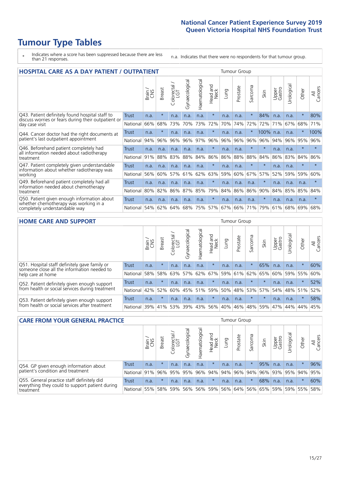# **Tumour Type Tables**

\* Indicates where a score has been suppressed because there are less than 21 responses.

n.a. Indicates that there were no respondents for that tumour group.

|                                                                        | <b>HOSPITAL CARE AS A DAY PATIENT / OUTPATIENT</b> |       |               |                                     |                |                |                         |         |          |                          |           |                 |            |         |                |
|------------------------------------------------------------------------|----------------------------------------------------|-------|---------------|-------------------------------------|----------------|----------------|-------------------------|---------|----------|--------------------------|-----------|-----------------|------------|---------|----------------|
|                                                                        |                                                    | Brain | <b>Breast</b> | $\frac{\text{Colored}}{\text{LGT}}$ | Gynaecological | Haematological | ead and<br>Neck<br>Head | Lung    | Prostate | arcoma<br>$\overline{ }$ | Skin      | Upper<br>Gastro | Urological | Other   | All<br>Cancers |
| Q43. Patient definitely found hospital staff to                        | <b>Trust</b>                                       | n.a.  | $\star$       | n.a.                                | n.a.           | n.a.           | $\star$                 | n.a.    | n.a.     | $\star$                  | 84%       | n.a.            | n.a.       | $\star$ | 80%            |
| discuss worries or fears during their outpatient or<br>day case visit  | National                                           | 66%   | 68%           | 73%                                 | 70%            | 73%            | 72%                     | 70%     | 74%      | 72%                      | 72%       | 71%             | 67%        | 68%     | 71%            |
| Q44. Cancer doctor had the right documents at                          | Trust                                              | n.a.  | $\star$       | n.a.                                | n.a.           | n.a.           | $\star$                 | n.a.    | n.a.     | $\star$                  | 100% n.a. |                 | n.a.       | $\star$ | 100%           |
| patient's last outpatient appointment                                  | National                                           | 94%   | 96%           | 96%                                 | 96%            | 97%            | 96%                     | 96%     | 96%      | 96%                      | 96%       | 94%             | 96%        | 95%     | 96%            |
| Q46. Beforehand patient completely had                                 | Trust                                              | n.a.  | n.a.          | n.a.                                | n.a.           | n.a.           | $\star$                 | n.a.    | n.a.     | $\star$                  | $\star$   | n.a.            | n.a.       | $\star$ | $\star$        |
| all information needed about radiotherapy<br>treatment                 | National                                           | 91%   | 88%           | 83%                                 | 88%            | 84%            | 86%                     | 86%     | 88%      | 88%                      | 84%       | 86%             | 83%        | 84%     | 86%            |
| Q47. Patient completely given understandable                           | Trust                                              | n.a.  | n.a.          | n.a.                                | n.a.           | n.a.           | $\star$                 | n.a.    | n.a.     | $\star$                  | $\star$   | n.a.            | n.a.       | $\star$ | $\star$        |
| information about whether radiotherapy was<br>working                  | National                                           | 56%   | 60%           | 57%                                 | 61%            | 62%            | 63%                     | 59%     | 60%      | 67%                      | 57%       | 52%             | 59%        | 59%     | 60%            |
| Q49. Beforehand patient completely had all                             | <b>Trust</b>                                       | n.a.  | n.a.          | n.a.                                | n.a.           | n.a.           | $\star$                 | n.a.    | n.a.     | n.a.                     | $\star$   | n.a.            | n.a.       | n.a.    | $\star$        |
| information needed about chemotherapy<br>treatment                     | National                                           | 80%   | 82%           | 86%                                 | 87%            | 85%            | 79%                     | 84%     | 86%      | 86%                      | 90%       | 84%             | 85%        | 85%     | 84%            |
| Q50. Patient given enough information about                            | Trust                                              | n.a.  | n.a.          | n.a.                                | n.a.           | n.a.           | $\star$                 | n.a.    | n.a.     | n.a.                     | $\star$   | n.a.            | n.a.       | n.a.    | $\star$        |
| whether chemotherapy was working in a<br>completely understandable way | National                                           | 54%   | 62%           | 64%                                 | 68%            | 75%            |                         | 57% 67% | 66%      | 71%                      | 79%       | 61%             | 68%        | 69%     | 68%            |

#### **HOME CARE AND SUPPORT** Tumour Group

|                                                                                              |          | Brain | <b>Breast</b> | Colorectal<br>LGT | Gynaecologic | ত<br>Haematologic | ad and<br>Neck<br>Head | Lung | Prostate | Sarcoma | Skin    | Upper<br>Gastro | Urological | Other   | All<br>Cancers |
|----------------------------------------------------------------------------------------------|----------|-------|---------------|-------------------|--------------|-------------------|------------------------|------|----------|---------|---------|-----------------|------------|---------|----------------|
| Q51. Hospital staff definitely gave family or<br>someone close all the information needed to | Trust    | n.a.  | $\star$       | n.a.              | n.a.         | n.a.              | $\star$                | n.a. | n.a.     | $\star$ | 65%     | n.a.            | n.a.       | $\ast$  | 60%            |
| help care at home                                                                            | National | 58%   | 58%           | 63%               | 57%          | 62%               | 67%                    |      | 59% 61%  | 62%     | 65%     | 60%             | 59%        | 55%     | 60%            |
| Q52. Patient definitely given enough support                                                 | Trust    | n.a.  | $\star$       | n.a.              | n.a.         | n.a.              | $\star$                | n.a. | n.a.     |         |         | n.a.            | n.a.       | $\star$ | 52%            |
| from health or social services during treatment                                              | National | 42%   | 52%           | 60%               |              | 45% 51%           | 59%                    | 50%  | 48%      | 53%     | 57%     | 54%             | 48% 51%    |         | 52%            |
| Q53. Patient definitely given enough support                                                 | Trust    | n.a.  | $\star$       | n.a.              | n.a.         | n.a.              | $\star$                | n.a. | n.a.     |         | $\star$ | n.a.            | n.a.       | $\star$ | 58%            |
| from health or social services after treatment                                               | National | 39%   | 41%           | 53%               | 39%          | $ 43\% $          | 56%                    | 40%  | 46%      | 48%     | 59%     | 47%             | 44%        | 44%     | 45%            |

| <b>CARE FROM YOUR GENERAL PRACTICE</b>                                                                 |                 |       |               |                   |                |                |                  |      |                                             | Tumour Group |                     |                 |            |         |                |
|--------------------------------------------------------------------------------------------------------|-----------------|-------|---------------|-------------------|----------------|----------------|------------------|------|---------------------------------------------|--------------|---------------------|-----------------|------------|---------|----------------|
|                                                                                                        |                 | Brain | <b>Breast</b> | Colorectal<br>LGT | Gynaecological | Haematological | Head and<br>Neck | Lung | Prostate                                    | Sarcoma      | Skin                | Upper<br>Gastro | Urological | Other   | All<br>Cancers |
| Q54. GP given enough information about                                                                 | Trust           | n.a.  |               | n.a.              | n.a.           | n.a.           | $\star$          | n.a. | n.a.                                        |              | 95%                 | n.a.            | n.a.       |         | 96%            |
| patient's condition and treatment                                                                      | <b>National</b> | 91%   |               | 96% 95%           |                |                |                  |      | 95%   96%   94%   94%   96%                 |              | 94% 96% 93% 95% 94% |                 |            |         | 95%            |
| Q55. General practice staff definitely did<br>Trust<br>everything they could to support patient during |                 | n.a.  | $\star$       | n.a.              | n.a.           | n.a.           | $\star$          | n.a. | n.a.                                        | $\star$      | 68%                 | n.a.            | n.a.       | $\star$ | 60%            |
| treatment                                                                                              | National        | 55%   |               | 58% 59%           |                |                |                  |      | 56% 56% 59% 56% 64% 56% 65% 59% 59% 55% 58% |              |                     |                 |            |         |                |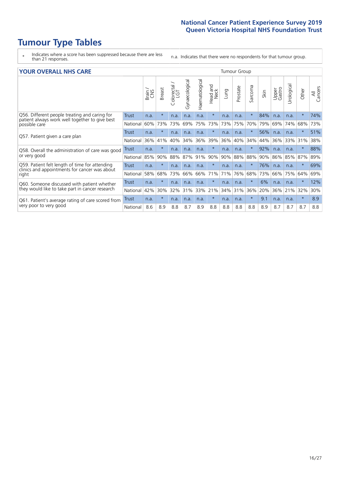# **Tumour Type Tables**

\* Indicates where a score has been suppressed because there are less than 21 responses.

n.a. Indicates that there were no respondents for that tumour group.

| <b>YOUR OVERALL NHS CARE</b>                                    |              |       |               |                          |                |                |                            |      | <b>Tumour Group</b> |          |      |                 |            |         |                |
|-----------------------------------------------------------------|--------------|-------|---------------|--------------------------|----------------|----------------|----------------------------|------|---------------------|----------|------|-----------------|------------|---------|----------------|
|                                                                 |              | Brain | <b>Breast</b> | ∽<br>Colorectal /<br>LGT | Gynaecological | Haematological | and<br><b>Neck</b><br>Head | Lung | Prostate            | Sarcoma  | Skin | Upper<br>Gastro | Urological | Other   | All<br>Cancers |
| Q56. Different people treating and caring for                   | Trust        | n.a.  | $\star$       | n.a.                     | n.a.           | n.a.           | $\star$                    | n.a. | n.a.                | $\star$  | 84%  | n.a.            | n.a.       | $\star$ | 74%            |
| patient always work well together to give best<br>possible care | National     | 60%   | 73%           | 73%                      | 69%            | 75%            | 73%                        | 73%  | 75%                 | 70%      | 79%  | 69%             | 74%        | 68%     | 73%            |
|                                                                 | Trust        | n.a.  | $\star$       | n.a.                     | n.a.           | n.a.           | $\star$                    | n.a. | n.a.                | $\star$  | 56%  | n.a.            | n.a.       | $\ast$  | 51%            |
| Q57. Patient given a care plan                                  | National     | 36%   | 41%           | 40%                      | 34%            | 36%            | 39%                        | 36%  | 40%                 | 34%      | 44%  | 36%             | 33%        | 31%     | 38%            |
| Q58. Overall the administration of care was good                | <b>Trust</b> | n.a.  | $\star$       | n.a.                     | n.a.           | n.a.           | $\star$                    | n.a. | n.a.                | $\star$  | 92%  | n.a.            | n.a.       | $\star$ | 88%            |
| or very good                                                    | National     | 85%   | 90%           | 88%                      | 87%            | 91%            | 90%                        | 90%  | 88%                 | 88%      | 90%  | 86%             | 85%        | 87%     | 89%            |
| Q59. Patient felt length of time for attending                  | Trust        | n.a.  | $\star$       | n.a.                     | n.a.           | n.a.           | $\star$                    | n.a. | n.a.                | $^\star$ | 76%  | n.a.            | n.a.       | $\star$ | 69%            |
| clinics and appointments for cancer was about<br>right          | National     | 58%   | 68%           | 73%                      | 66%            | 66%            | 71%                        | 71%  | 76%                 | 68%      | 73%  | 66%             | 75%        | 64%     | 69%            |
| Q60. Someone discussed with patient whether                     | Trust        | n.a.  | $\star$       | n.a.                     | n.a.           | n.a.           | $\star$                    | n.a. | n.a.                | $\star$  | 6%   | n.a.            | n.a.       | $\star$ | 12%            |
| they would like to take part in cancer research                 | National     | 42%   | 30%           | 32%                      | 31%            | 33%            | 21%                        | 34%  | 31%                 | 36%      | 20%  | 36%             | 21%        | 32%     | 30%            |
| Q61. Patient's average rating of care scored from               | Trust        | n.a.  | $\star$       | n.a.                     | n.a.           | n.a.           | $\star$                    | n.a. | n.a.                | $\star$  | 9.1  | n.a.            | n.a.       | $\star$ | 8.9            |
| very poor to very good                                          | National     | 8.6   | 8.9           | 8.8                      | 8.7            | 8.9            | 8.8                        | 8.8  | 8.8                 | 8.8      | 8.9  | 8.7             | 8.7        | 8.7     | 8.8            |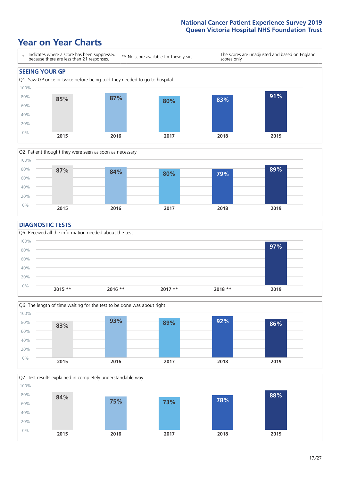### **Year on Year Charts**





#### **DIAGNOSTIC TESTS**





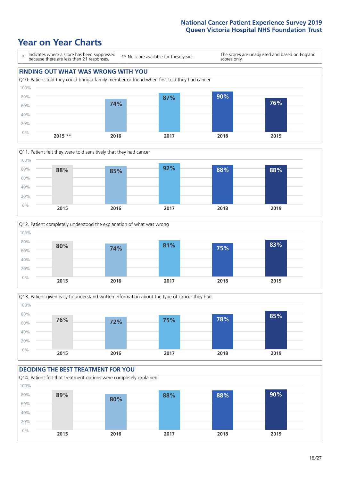







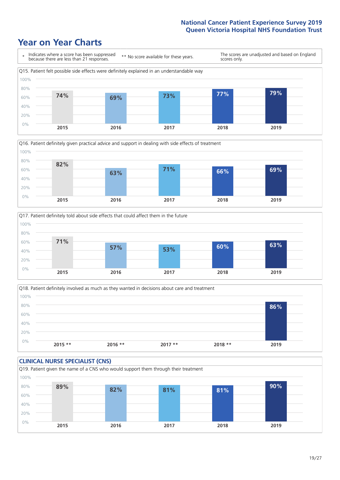![](_page_18_Figure_2.jpeg)

![](_page_18_Figure_3.jpeg)

![](_page_18_Figure_4.jpeg)

![](_page_18_Figure_5.jpeg)

![](_page_18_Figure_6.jpeg)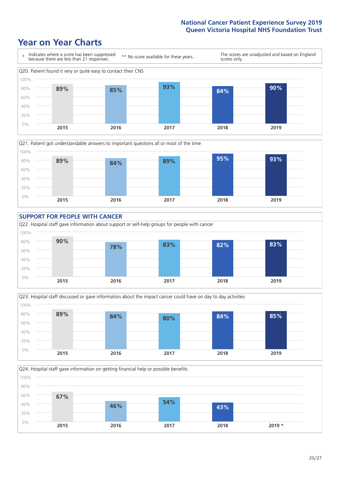![](_page_19_Figure_2.jpeg)

![](_page_19_Figure_3.jpeg)

![](_page_19_Figure_4.jpeg)

![](_page_19_Figure_5.jpeg)

![](_page_19_Figure_6.jpeg)

Q24. Hospital staff gave information on getting financial help or possible benefits

![](_page_19_Figure_8.jpeg)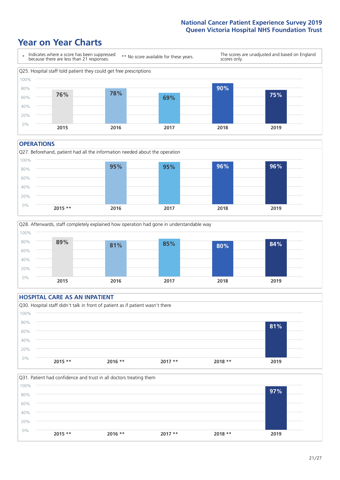### **Year on Year Charts**

![](_page_20_Figure_2.jpeg)

#### **OPERATIONS**

![](_page_20_Figure_4.jpeg)

![](_page_20_Figure_5.jpeg)

#### **HOSPITAL CARE AS AN INPATIENT** Q30. Hospital staff didn't talk in front of patient as if patient wasn't there 0% 20% 40% 60% 80% 100% **2015 \*\* 2016 \*\* 2017 \*\* 2018 \*\* 2019 81%**

![](_page_20_Figure_7.jpeg)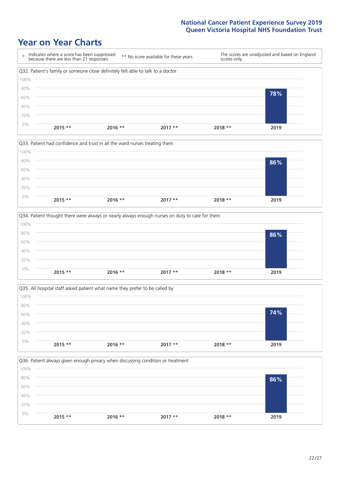![](_page_21_Figure_2.jpeg)

![](_page_21_Figure_3.jpeg)

![](_page_21_Figure_4.jpeg)

![](_page_21_Figure_5.jpeg)

![](_page_21_Figure_6.jpeg)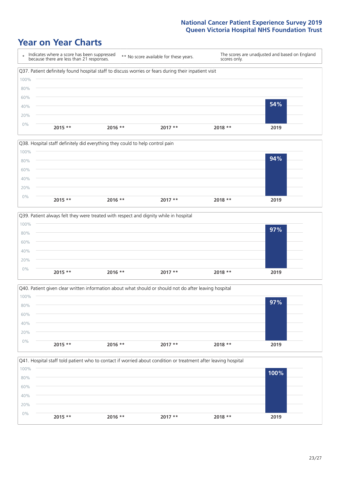![](_page_22_Figure_2.jpeg)

![](_page_22_Figure_3.jpeg)

![](_page_22_Figure_4.jpeg)

![](_page_22_Figure_5.jpeg)

![](_page_22_Figure_6.jpeg)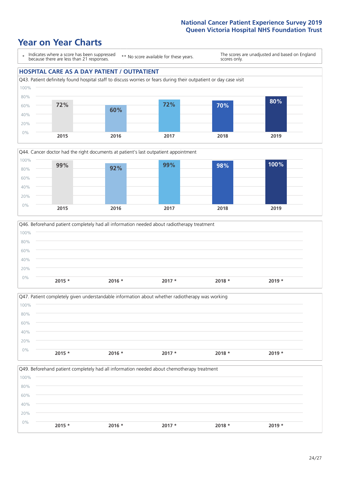### **Year on Year Charts**

\* Indicates where a score has been suppressed because there are less than 21 responses.

\*\* No score available for these years.

The scores are unadjusted and based on England scores only.

#### **HOSPITAL CARE AS A DAY PATIENT / OUTPATIENT**

![](_page_23_Figure_6.jpeg)

![](_page_23_Figure_7.jpeg)

![](_page_23_Figure_8.jpeg)

|      |          |          | Q47. Patient completely given understandable information about whether radiotherapy was working |          |          |
|------|----------|----------|-------------------------------------------------------------------------------------------------|----------|----------|
| 100% |          |          |                                                                                                 |          |          |
| 80%  |          |          |                                                                                                 |          |          |
| 60%  |          |          |                                                                                                 |          |          |
| 40%  |          |          |                                                                                                 |          |          |
| 20%  |          |          |                                                                                                 |          |          |
| 0%   | $2015 *$ | $2016 *$ | $2017 *$                                                                                        | $2018 *$ | $2019 *$ |
|      |          |          |                                                                                                 |          |          |

Q49. Beforehand patient completely had all information needed about chemotherapy treatment 0% 20% 40% 60% 80% 100% **2015 \* 2016 \* 2017 \* 2018 \* 2019 \***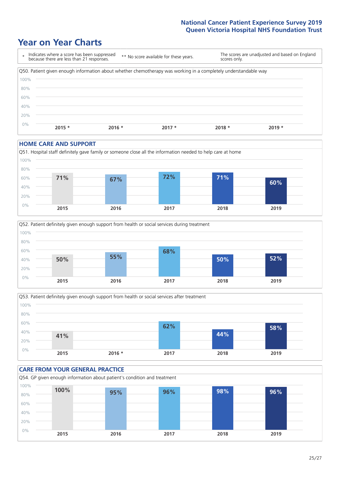### **Year on Year Charts**

![](_page_24_Figure_2.jpeg)

#### **HOME CARE AND SUPPORT**

![](_page_24_Figure_4.jpeg)

![](_page_24_Figure_5.jpeg)

![](_page_24_Figure_6.jpeg)

![](_page_24_Figure_7.jpeg)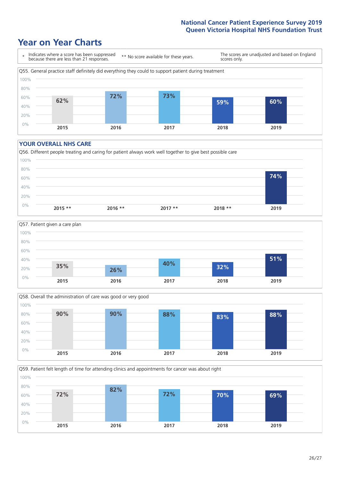### **Year on Year Charts**

![](_page_25_Figure_2.jpeg)

#### **YOUR OVERALL NHS CARE**

![](_page_25_Figure_4.jpeg)

![](_page_25_Figure_5.jpeg)

![](_page_25_Figure_6.jpeg)

Q59. Patient felt length of time for attending clinics and appointments for cancer was about right 0% 20% 40% 60% 80% 100% **2015 2016 2017 2018 2019 72% 82% 72% 70% 69%**